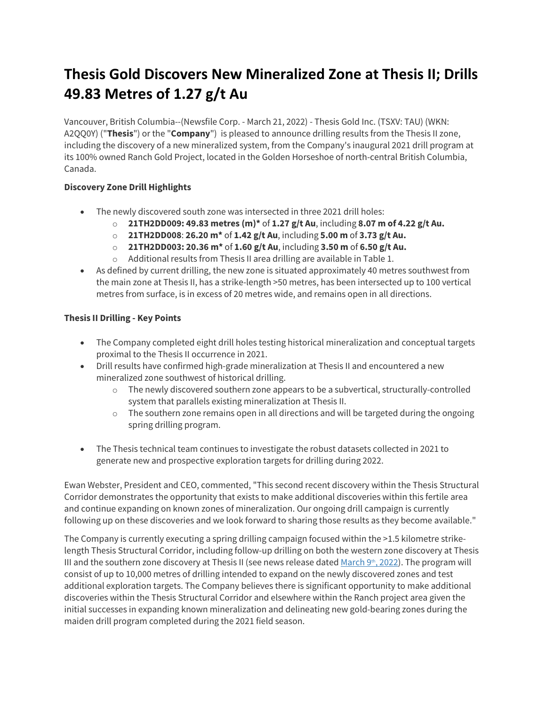# **Thesis Gold Discovers New Mineralized Zone at Thesis II; Drills 49.83 Metres of 1.27 g/t Au**

Vancouver, British Columbia--(Newsfile Corp. - March 21, 2022) - Thesis Gold Inc. (TSXV: TAU) (WKN: A2QQ0Y) ("**Thesis**") or the "**Company**") is pleased to announce drilling results from the Thesis II zone, including the discovery of a new mineralized system, from the Company's inaugural 2021 drill program at its 100% owned Ranch Gold Project, located in the Golden Horseshoe of north-central British Columbia, Canada.

# **Discovery Zone Drill Highlights**

- The newly discovered south zone was intersected in three 2021 drill holes:
	- o **21TH2DD009: 49.83 metres (m)\*** of **1.27 g/t Au**, including **8.07 m of 4.22 g/t Au.**
	- o **21TH2DD008**: **26.20 m\*** of **1.42 g/t Au**, including **5.00 m** of **3.73 g/t Au.**
	- o **21TH2DD003: 20.36 m\*** of **1.60 g/t Au**, including **3.50 m** of **6.50 g/t Au.**
	- o Additional results from Thesis II area drilling are available in Table 1.
- As defined by current drilling, the new zone is situated approximately 40 metres southwest from the main zone at Thesis II, has a strike-length >50 metres, has been intersected up to 100 vertical metres from surface, is in excess of 20 metres wide, and remains open in all directions.

# **Thesis II Drilling - Key Points**

- The Company completed eight drill holes testing historical mineralization and conceptual targets proximal to the Thesis II occurrence in 2021.
- Drill results have confirmed high-grade mineralization at Thesis II and encountered a new mineralized zone southwest of historical drilling.
	- $\circ$  The newly discovered southern zone appears to be a subvertical, structurally-controlled system that parallels existing mineralization at Thesis II.
	- $\circ$  The southern zone remains open in all directions and will be targeted during the ongoing spring drilling program.
- The Thesis technical team continues to investigate the robust datasets collected in 2021 to generate new and prospective exploration targets for drilling during 2022.

Ewan Webster, President and CEO, commented, "This second recent discovery within the Thesis Structural Corridor demonstrates the opportunity that exists to make additional discoveries within this fertile area and continue expanding on known zones of mineralization. Our ongoing drill campaign is currently following up on these discoveries and we look forward to sharing those results as they become available."

The Company is currently executing a spring drilling campaign focused within the >1.5 kilometre strikelength Thesis Structural Corridor, including follow-up drilling on both the western zone discovery at Thesis III and the southern zone discovery at Thesis II (see news release dated March  $9th$ , 2022). The program will consist of up to 10,000 metres of drilling intended to expand on the newly discovered zones and test additional exploration targets. The Company believes there is significant opportunity to make additional discoveries within the Thesis Structural Corridor and elsewhere within the Ranch project area given the initial successes in expanding known mineralization and delineating new gold-bearing zones during the maiden drill program completed during the 2021 field season.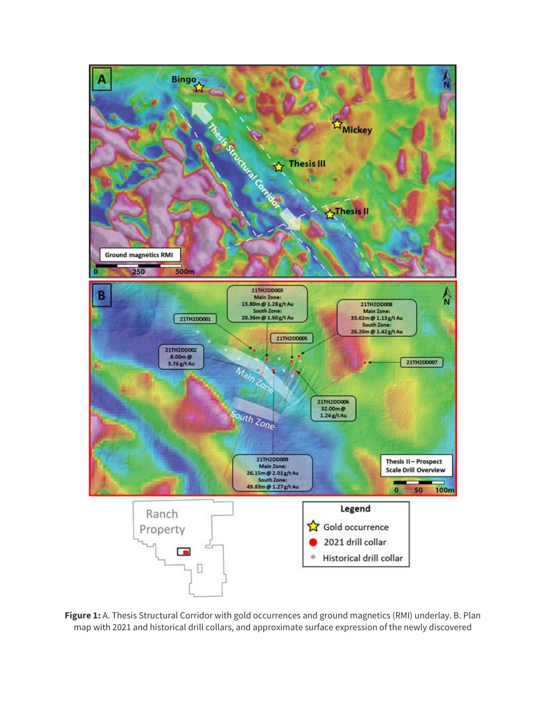

**Figure 1:** A. Thesis Structural Corridor with gold occurrences and ground magnetics (RMI) underlay. B. Plan map with 2021 and historical drill collars, and approximate surface expression of the newly discovered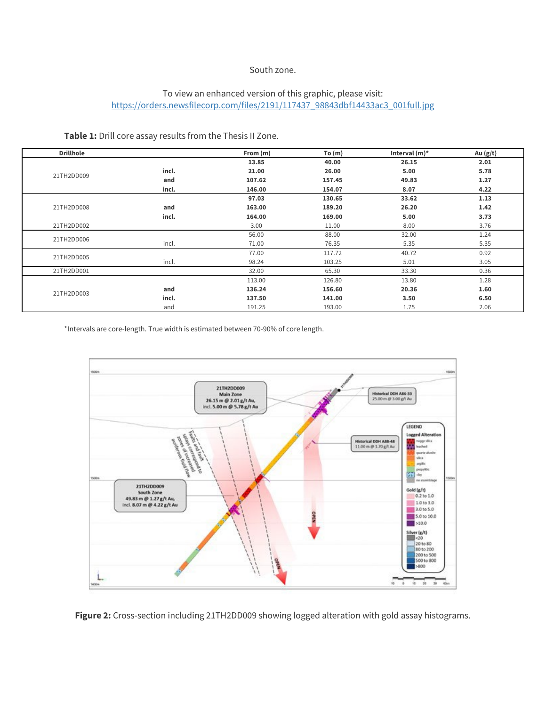#### South zone.

# To view an enhanced version of this graphic, please visit: [https://orders.newsfilecorp.com/files/2191/117437\\_98843dbf14433ac3\\_001full.jpg](https://orders.newsfilecorp.com/files/2191/117437_98843dbf14433ac3_001full.jpg)

**Table 1:** Drill core assay results from the Thesis II Zone.

| <b>Drillhole</b> |       | From (m) | To(m)  | Interval $(m)^*$ | Au $(g/t)$ |
|------------------|-------|----------|--------|------------------|------------|
| 21TH2DD009       |       | 13.85    | 40.00  | 26.15            | 2.01       |
|                  | incl. | 21.00    | 26.00  | 5.00             | 5.78       |
|                  | and   | 107.62   | 157.45 | 49.83            | 1.27       |
|                  | incl. | 146.00   | 154.07 | 8.07             | 4.22       |
| 21TH2DD008       |       | 97.03    | 130.65 | 33.62            | 1.13       |
|                  | and   | 163.00   | 189.20 | 26.20            | 1.42       |
|                  | incl. | 164.00   | 169.00 | 5.00             | 3.73       |
| 21TH2DD002       |       | 3.00     | 11.00  | 8.00             | 3.76       |
| 21TH2DD006       |       | 56.00    | 88.00  | 32.00            | 1.24       |
|                  | incl. | 71.00    | 76.35  | 5.35             | 5.35       |
| 21TH2DD005       |       | 77.00    | 117.72 | 40.72            | 0.92       |
|                  | incl. | 98.24    | 103.25 | 5.01             | 3.05       |
| 21TH2DD001       |       | 32.00    | 65.30  | 33.30            | 0.36       |
| 21TH2DD003       |       | 113.00   | 126.80 | 13.80            | 1.28       |
|                  | and   | 136.24   | 156.60 | 20.36            | 1.60       |
|                  | incl. | 137.50   | 141.00 | 3.50             | 6.50       |
|                  | and   | 191.25   | 193.00 | 1.75             | 2.06       |

\*Intervals are core-length. True width is estimated between 70-90% of core length.



**Figure 2:** Cross-section including 21TH2DD009 showing logged alteration with gold assay histograms.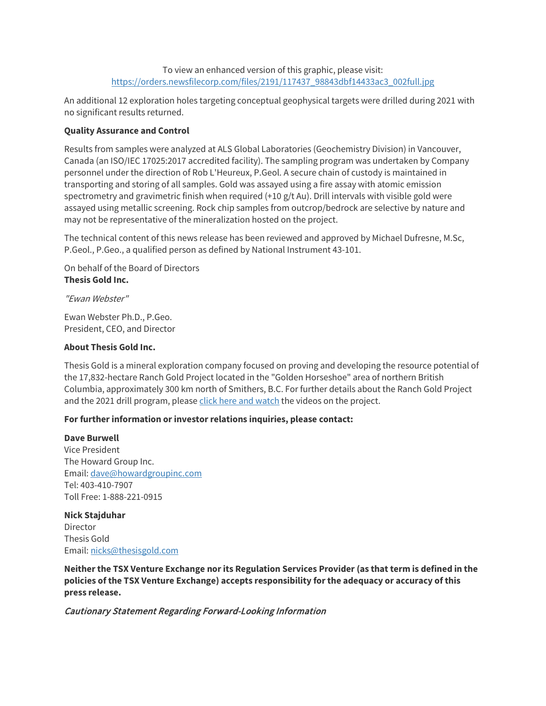#### To view an enhanced version of this graphic, please visit: [https://orders.newsfilecorp.com/files/2191/117437\\_98843dbf14433ac3\\_002full.jpg](https://orders.newsfilecorp.com/files/2191/117437_98843dbf14433ac3_002full.jpg)

An additional 12 exploration holes targeting conceptual geophysical targets were drilled during 2021 with no significant results returned.

## **Quality Assurance and Control**

Results from samples were analyzed at ALS Global Laboratories (Geochemistry Division) in Vancouver, Canada (an ISO/IEC 17025:2017 accredited facility). The sampling program was undertaken by Company personnel under the direction of Rob L'Heureux, P.Geol. A secure chain of custody is maintained in transporting and storing of all samples. Gold was assayed using a fire assay with atomic emission spectrometry and gravimetric finish when required (+10 g/t Au). Drill intervals with visible gold were assayed using metallic screening. Rock chip samples from outcrop/bedrock are selective by nature and may not be representative of the mineralization hosted on the project.

The technical content of this news release has been reviewed and approved by Michael Dufresne, M.Sc, P.Geol., P.Geo., a qualified person as defined by National Instrument 43-101.

On behalf of the Board of Directors **Thesis Gold Inc.**

"Ewan Webster"

Ewan Webster Ph.D., P.Geo. President, CEO, and Director

#### **About Thesis Gold Inc.**

Thesis Gold is a mineral exploration company focused on proving and developing the resource potential of the 17,832-hectare Ranch Gold Project located in the "Golden Horseshoe" area of northern British Columbia, approximately 300 km north of Smithers, B.C. For further details about the Ranch Gold Project and the 2021 drill program, please [click here and watch](https://www.newsfilecorp.com/redirect/OLGqLH00ny) the videos on the project.

## **For further information or investor relations inquiries, please contact:**

**Dave Burwell** Vice President The Howard Group Inc. Email: [dave@howardgroupinc.com](mailto:dave@howardgroupinc.com) Tel: 403-410-7907 Toll Free: 1-888-221-0915

**Nick Stajduhar Director** Thesis Gold Email: [nicks@thesisgold.com](mailto:nicks@thesisgold.com)

**Neither the TSX Venture Exchange nor its Regulation Services Provider (as that term is defined in the policies of the TSX Venture Exchange) accepts responsibility for the adequacy or accuracy of this press release.**

## Cautionary Statement Regarding Forward-Looking Information